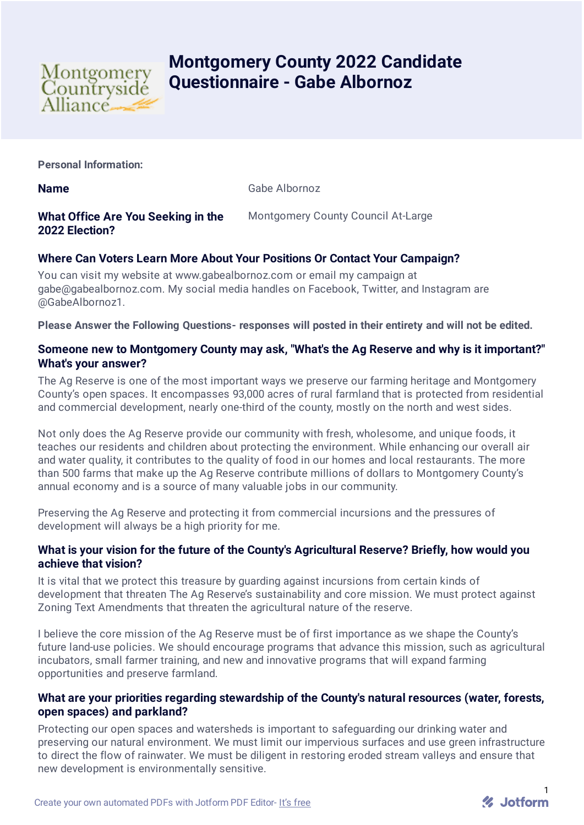

# **Montgomery County 2022 Candidate Questionnaire - Gabe Albornoz**

**Personal Information:**

**Name** Gabe Albornoz

# **What Office Are You Seeking in the 2022 Election?**

Montgomery County Council At-Large

# **Where Can Voters Learn More About Your Positions Or Contact Your Campaign?**

You can visit my website at www.gabealbornoz.com or email my campaign at gabe@gabealbornoz.com. My social media handles on Facebook, Twitter, and Instagram are @GabeAlbornoz1.

**Please Answer the Following Questions- responses will posted in their entirety and will not be edited.**

# **Someone new to Montgomery County may ask, "What's the Ag Reserve and why is it important?" What's your answer?**

The Ag Reserve is one of the most important ways we preserve our farming heritage and Montgomery County's open spaces. It encompasses 93,000 acres of rural farmland that is protected from residential and commercial development, nearly one-third of the county, mostly on the north and west sides.

Not only does the Ag Reserve provide our community with fresh, wholesome, and unique foods, it teaches our residents and children about protecting the environment. While enhancing our overall air and water quality, it contributes to the quality of food in our homes and local restaurants. The more than 500 farms that make up the Ag Reserve contribute millions of dollars to Montgomery County's annual economy and is a source of many valuable jobs in our community.

Preserving the Ag Reserve and protecting it from commercial incursions and the pressures of development will always be a high priority for me.

# **What is your vision for the future of the County's Agricultural Reserve? Briefly, how would you achieve that vision?**

It is vital that we protect this treasure by guarding against incursions from certain kinds of development that threaten The Ag Reserve's sustainability and core mission. We must protect against Zoning Text Amendments that threaten the agricultural nature of the reserve.

I believe the core mission of the Ag Reserve must be of first importance as we shape the County's future land-use policies. We should encourage programs that advance this mission, such as agricultural incubators, small farmer training, and new and innovative programs that will expand farming opportunities and preserve farmland.

# **What are your priorities regarding stewardship of the County's natural resources (water, forests, open spaces) and parkland?**

Protecting our open spaces and watersheds is important to safeguarding our drinking water and preserving our natural environment. We must limit our impervious surfaces and use green infrastructure to direct the flow of rainwater. We must be diligent in restoring eroded stream valleys and ensure that new development is environmentally sensitive.

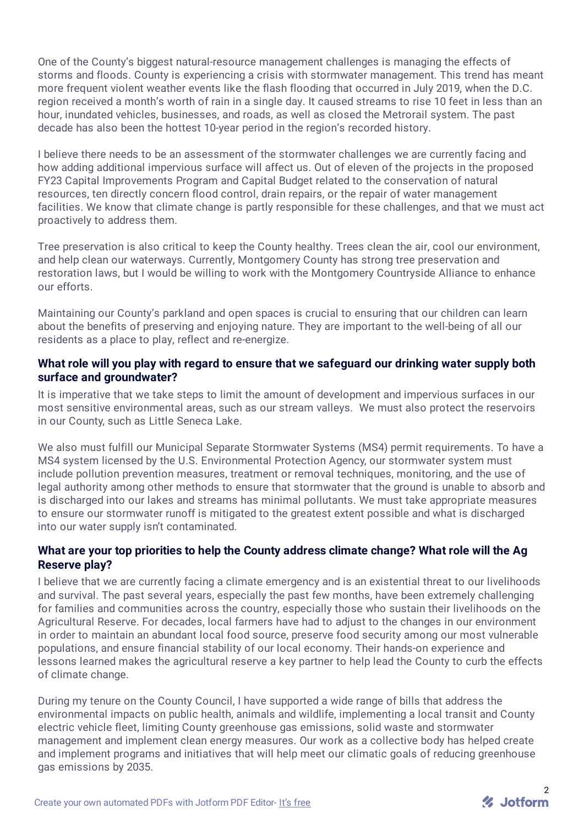One of the County's biggest natural-resource management challenges is managing the effects of storms and floods. County is experiencing a crisis with stormwater management. This trend has meant more frequent violent weather events like the flash flooding that occurred in July 2019, when the D.C. region received a month's worth of rain in a single day. It caused streams to rise 10 feet in less than an hour, inundated vehicles, businesses, and roads, as well as closed the Metrorail system. The past decade has also been the hottest 10-year period in the region's recorded history.

I believe there needs to be an assessment of the stormwater challenges we are currently facing and how adding additional impervious surface will affect us. Out of eleven of the projects in the proposed FY23 Capital Improvements Program and Capital Budget related to the conservation of natural resources, ten directly concern flood control, drain repairs, or the repair of water management facilities. We know that climate change is partly responsible for these challenges, and that we must act proactively to address them.

Tree preservation is also critical to keep the County healthy. Trees clean the air, cool our environment, and help clean our waterways. Currently, Montgomery County has strong tree preservation and restoration laws, but I would be willing to work with the Montgomery Countryside Alliance to enhance our efforts.

Maintaining our County's parkland and open spaces is crucial to ensuring that our children can learn about the benefits of preserving and enjoying nature. They are important to the well-being of all our residents as a place to play, reflect and re-energize.

# **What role will you play with regard to ensure that we safeguard our drinking water supply both surface and groundwater?**

It is imperative that we take steps to limit the amount of development and impervious surfaces in our most sensitive environmental areas, such as our stream valleys. We must also protect the reservoirs in our County, such as Little Seneca Lake.

We also must fulfill our Municipal Separate Stormwater Systems (MS4) permit requirements. To have a MS4 system licensed by the U.S. Environmental Protection Agency, our stormwater system must include pollution prevention measures, treatment or removal techniques, monitoring, and the use of legal authority among other methods to ensure that stormwater that the ground is unable to absorb and is discharged into our lakes and streams has minimal pollutants. We must take appropriate measures to ensure our stormwater runoff is mitigated to the greatest extent possible and what is discharged into our water supply isn't contaminated.

# **What are your top priorities to help the County address climate change? What role will the Ag Reserve play?**

I believe that we are currently facing a climate emergency and is an existential threat to our livelihoods and survival. The past several years, especially the past few months, have been extremely challenging for families and communities across the country, especially those who sustain their livelihoods on the Agricultural Reserve. For decades, local farmers have had to adjust to the changes in our environment in order to maintain an abundant local food source, preserve food security among our most vulnerable populations, and ensure financial stability of our local economy. Their hands-on experience and lessons learned makes the agricultural reserve a key partner to help lead the County to curb the effects of climate change.

During my tenure on the County Council, I have supported a wide range of bills that address the environmental impacts on public health, animals and wildlife, implementing a local transit and County electric vehicle fleet, limiting County greenhouse gas emissions, solid waste and stormwater management and implement clean energy measures. Our work as a collective body has helped create and implement programs and initiatives that will help meet our climatic goals of reducing greenhouse gas emissions by 2035.

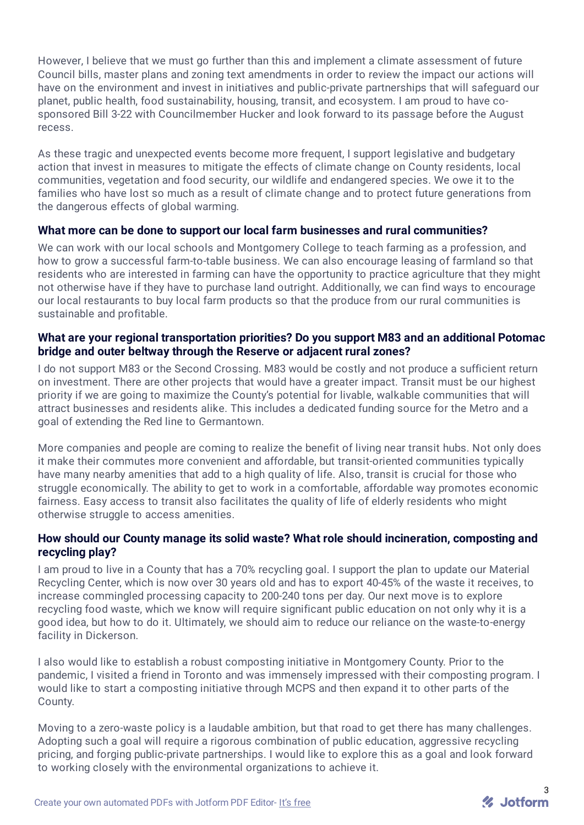However, I believe that we must go further than this and implement a climate assessment of future Council bills, master plans and zoning text amendments in order to review the impact our actions will have on the environment and invest in initiatives and public-private partnerships that will safeguard our planet, public health, food sustainability, housing, transit, and ecosystem. I am proud to have cosponsored Bill 3-22 with Councilmember Hucker and look forward to its passage before the August recess.

As these tragic and unexpected events become more frequent, I support legislative and budgetary action that invest in measures to mitigate the effects of climate change on County residents, local communities, vegetation and food security, our wildlife and endangered species. We owe it to the families who have lost so much as a result of climate change and to protect future generations from the dangerous effects of global warming.

#### **What more can be done to support our local farm businesses and rural communities?**

We can work with our local schools and Montgomery College to teach farming as a profession, and how to grow a successful farm-to-table business. We can also encourage leasing of farmland so that residents who are interested in farming can have the opportunity to practice agriculture that they might not otherwise have if they have to purchase land outright. Additionally, we can find ways to encourage our local restaurants to buy local farm products so that the produce from our rural communities is sustainable and profitable.

#### **What are your regional transportation priorities? Do you support M83 and an additional Potomac bridge and outer beltway through the Reserve or adjacent rural zones?**

I do not support M83 or the Second Crossing. M83 would be costly and not produce a sufficient return on investment. There are other projects that would have a greater impact. Transit must be our highest priority if we are going to maximize the County's potential for livable, walkable communities that will attract businesses and residents alike. This includes a dedicated funding source for the Metro and a goal of extending the Red line to Germantown.

More companies and people are coming to realize the benefit of living near transit hubs. Not only does it make their commutes more convenient and affordable, but transit-oriented communities typically have many nearby amenities that add to a high quality of life. Also, transit is crucial for those who struggle economically. The ability to get to work in a comfortable, affordable way promotes economic fairness. Easy access to transit also facilitates the quality of life of elderly residents who might otherwise struggle to access amenities.

#### **How should our County manage its solid waste? What role should incineration, composting and recycling play?**

I am proud to live in a County that has a 70% recycling goal. I support the plan to update our Material Recycling Center, which is now over 30 years old and has to export 40-45% of the waste it receives, to increase commingled processing capacity to 200-240 tons per day. Our next move is to explore recycling food waste, which we know will require significant public education on not only why it is a good idea, but how to do it. Ultimately, we should aim to reduce our reliance on the waste-to-energy facility in Dickerson.

I also would like to establish a robust composting initiative in Montgomery County. Prior to the pandemic, I visited a friend in Toronto and was immensely impressed with their composting program. I would like to start a composting initiative through MCPS and then expand it to other parts of the County.

Moving to a zero-waste policy is a laudable ambition, but that road to get there has many challenges. Adopting such a goal will require a rigorous combination of public education, aggressive recycling pricing, and forging public-private partnerships. I would like to explore this as a goal and look forward to working closely with the environmental organizations to achieve it.